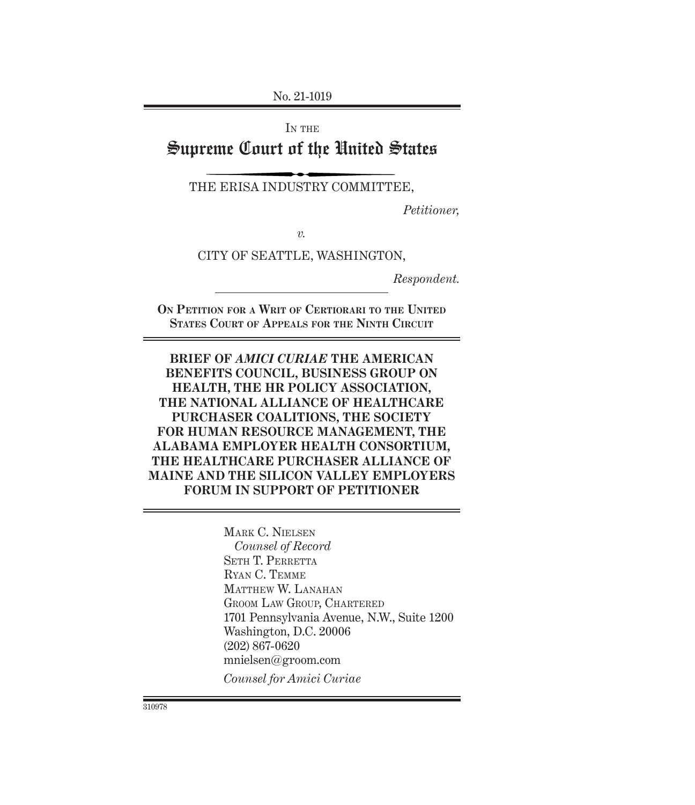No. 21-1019

IN THE

# Supreme Court of the United States

THE ERISA INDUSTRY COMMITTEE,

*Petitioner,*

*v.*

CITY OF SEATTLE, WASHINGTON,

*Respondent.*

**On Petition for a Writ of Certiorari to the United States Court of Appeals for the Ninth Circuit**

**BRIEF OF** *AMICI CURIAE* **THE AMERICAN BENEFITS COUNCIL, BUSINESS GROUP ON HEALTH, THE HR POLICY ASSOCIATION, THE NATIONAL ALLIANCE OF HEALTHCARE PURCHASER COALITIONS, THE SOCIETY FOR HUMAN RESOURCE MANAGEMENT, THE ALABAMA EMPLOYER HEALTH CONSORTIUM, THE HEALTHCARE PURCHASER ALLIANCE OF MAINE AND THE SILICON VALLEY EMPLOYERS FORUM IN SUPPORT OF PETITIONER**

> Mark C. Nielsen *Counsel of Record* SETH T. PERRETTA Ryan C. Temme MATTHEW W. LANAHAN Groom Law Group, Chartered 1701 Pennsylvania Avenue, N.W., Suite 1200 Washington, D.C. 20006 (202) 867-0620 mnielsen@groom.com *Counsel for Amici Curiae*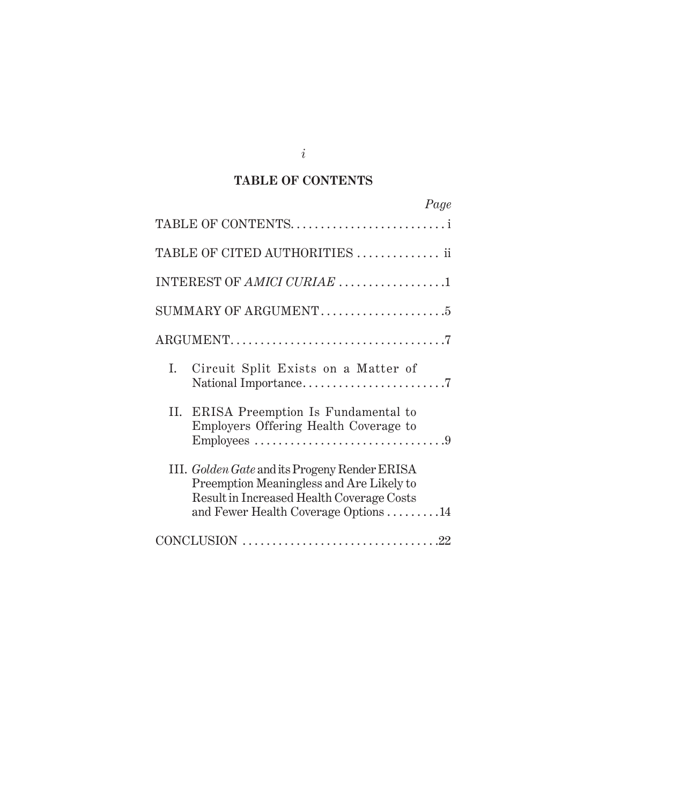### **TABLE OF CONTENTS**

|    | Page                                                                                                                                                                           |
|----|--------------------------------------------------------------------------------------------------------------------------------------------------------------------------------|
|    | TABLE OF CONTENTS                                                                                                                                                              |
|    | TABLE OF CITED AUTHORITIES  ii                                                                                                                                                 |
|    | INTEREST OF AMICI CURIAE 1                                                                                                                                                     |
|    | SUMMARY OF ARGUMENT5                                                                                                                                                           |
|    |                                                                                                                                                                                |
| I. | Circuit Split Exists on a Matter of                                                                                                                                            |
|    | II. ERISA Preemption Is Fundamental to<br>Employers Offering Health Coverage to                                                                                                |
|    | III. Golden Gate and its Progeny Render ERISA<br>Preemption Meaningless and Are Likely to<br>Result in Increased Health Coverage Costs<br>and Fewer Health Coverage Options 14 |
|    | CONCLUSION $\ldots \ldots \ldots \ldots \ldots \ldots \ldots \ldots \ldots \ldots \ldots \ldots \ldots$                                                                        |

*i*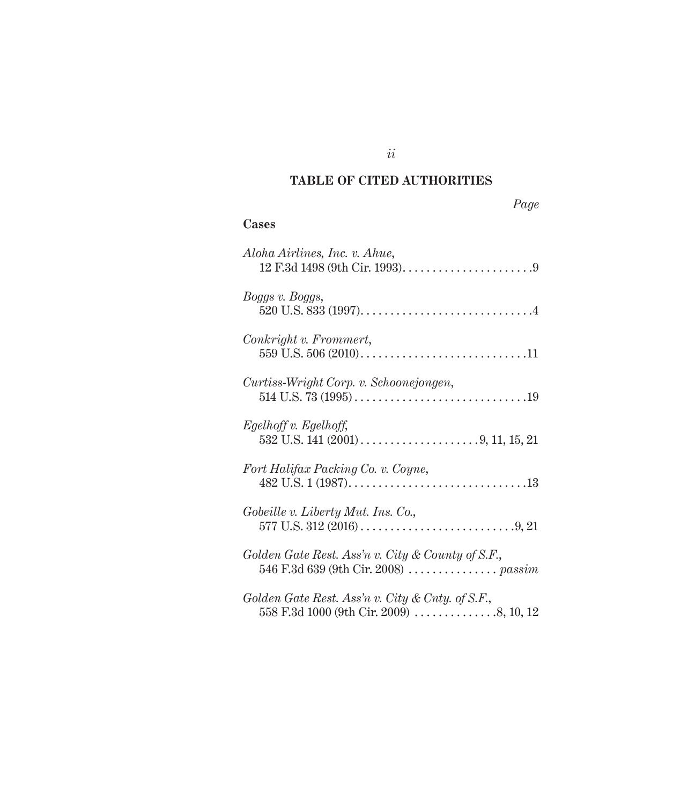# **TABLE OF CITED AUTHORITIES**

| 'aae<br>→ |
|-----------|
|-----------|

### **Cases**

| Aloha Airlines, Inc. v. Ahue,                                                               |
|---------------------------------------------------------------------------------------------|
| Boggs v. Boggs,                                                                             |
| Conkright v. Frommert,                                                                      |
| Curtiss-Wright Corp. v. Schoonejongen,                                                      |
| Egelhoff v. Egelhoff,                                                                       |
| Fort Halifax Packing Co. v. Coyne,                                                          |
| Gobeille v. Liberty Mut. Ins. Co.,                                                          |
| Golden Gate Rest. Ass'n v. City & County of S.F.,                                           |
| Golden Gate Rest. Ass'n v. City & Cnty. of S.F.,<br>558 F.3d 1000 (9th Cir. 2009) 8, 10, 12 |

*ii*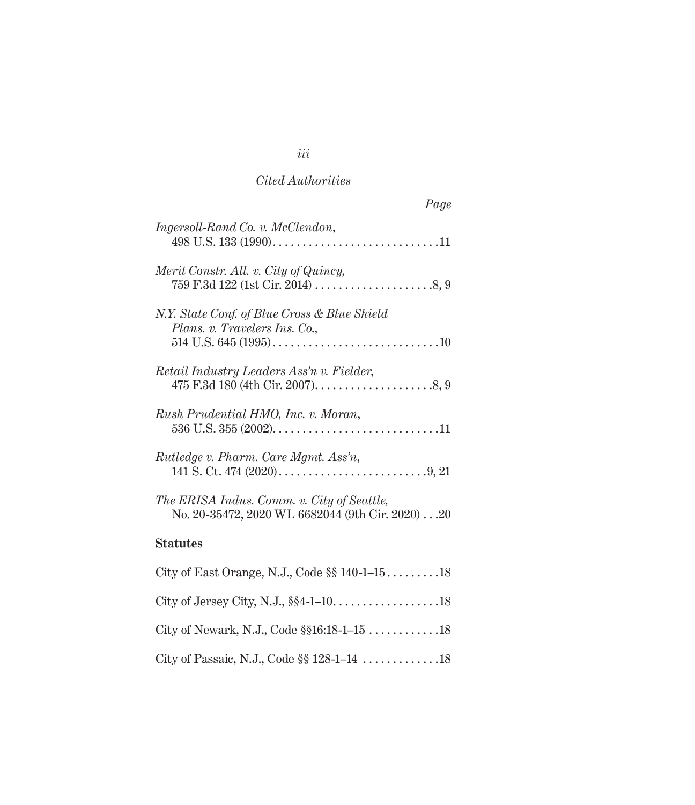### *Cited Authorities*

| Page                                                                                           |
|------------------------------------------------------------------------------------------------|
| Ingersoll-Rand Co. v. McClendon,                                                               |
| Merit Constr. All. v. City of Quincy,                                                          |
| N.Y. State Conf. of Blue Cross & Blue Shield<br>Plans. v. Travelers Ins. Co.,                  |
| Retail Industry Leaders Ass'n v. Fielder,                                                      |
| Rush Prudential HMO, Inc. v. Moran,                                                            |
| Rutledge v. Pharm. Care Mgmt. Ass'n,                                                           |
| The ERISA Indus. Comm. v. City of Seattle,<br>No. 20-35472, 2020 WL 6682044 (9th Cir. 2020) 20 |
| <b>Statutes</b>                                                                                |
| City of East Orange, N.J., Code §§ 140-1-1518                                                  |
|                                                                                                |
|                                                                                                |
| City of Passaic, N.J., Code §§ 128-1-14 18                                                     |

# *iii*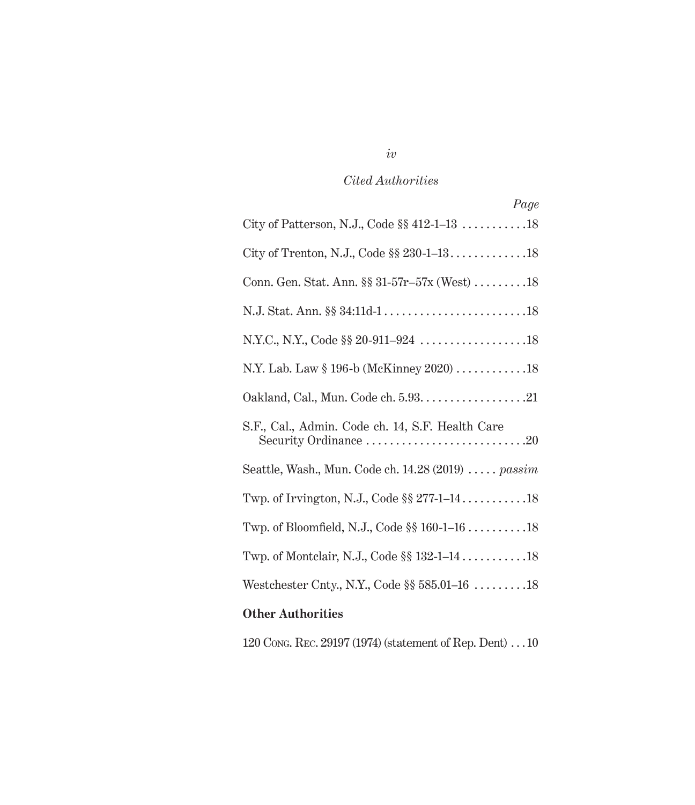# *Cited Authorities*

| Page                                                               |  |  |
|--------------------------------------------------------------------|--|--|
| City of Patterson, N.J., Code $\S § 412-1-13$ 18                   |  |  |
|                                                                    |  |  |
| Conn. Gen. Stat. Ann. §§ 31-57r-57x (West) 18                      |  |  |
|                                                                    |  |  |
|                                                                    |  |  |
| N.Y. Lab. Law § 196-b (McKinney 2020) 18                           |  |  |
|                                                                    |  |  |
| S.F., Cal., Admin. Code ch. 14, S.F. Health Care                   |  |  |
| Seattle, Wash., Mun. Code ch. $14.28(2019) \ldots$ . <i>passim</i> |  |  |
|                                                                    |  |  |
| Twp. of Bloomfield, N.J., Code $\S$ 160-1-16 18                    |  |  |
|                                                                    |  |  |
| Westchester Cnty., N.Y., Code $\S$ 585.01–16 18                    |  |  |
| <b>Other Authorities</b>                                           |  |  |

120 Cong. Rec. 29197 (1974) (statement of Rep. Dent)  $\cdots 10$ 

# *iv*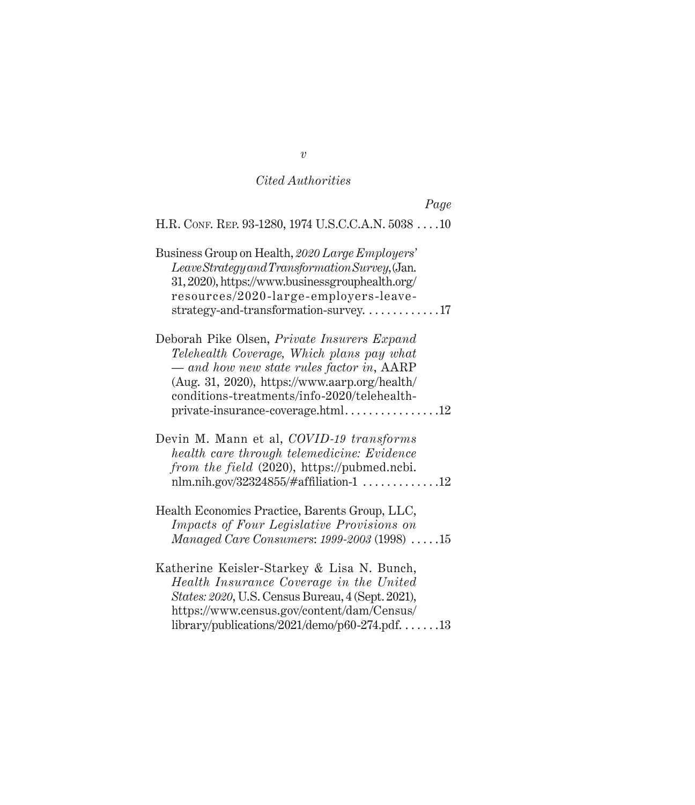#### *Cited Authorities*

*Page* H.R. CONF. REP. 93-1280, 1974 U.S.C.C.A.N. 5038 . . . . 10 Business Group on Health, *2020 Large Employers' Leave Strategy and Transformation Survey*, (Jan. 31, 2020), https://www.businessgrouphealth.org/ resources/2020-large-employers-leave $strategy-and-transformation-survey.$ ...............17 Deborah Pike Olsen, *Private Insurers Expand Telehealth Coverage, Which plans pay what — and how new state rules factor in*, AARP (Aug. 31, 2020), https://www.aarp.org/health/ conditions-treatments/info-2020/telehealthprivate-insurance-coverage.html . 12 Devin M. Mann et al, *COVID-19 transforms health care through telemedicine: Evidence from the field* (2020), https://pubmed.ncbi. nlm.nih.gov/32324855/#affiliation-1  $\dots\dots\dots\dots12$ Health Economics Practice, Barents Group, LLC, *Impacts of Four Legislative Provisions on Managed Care Consumers: 1999-2003* (1998) .....15 Katherine Keisler-Starkey & Lisa N. Bunch, *Health Insurance Coverage in the United States: 2020*, U.S. Census Bureau, 4 (Sept. 2021), https://www.census.gov/content/dam/Census/ library/publications/2021/demo/p60-274.pdf.  $\dots$ . 13

*v*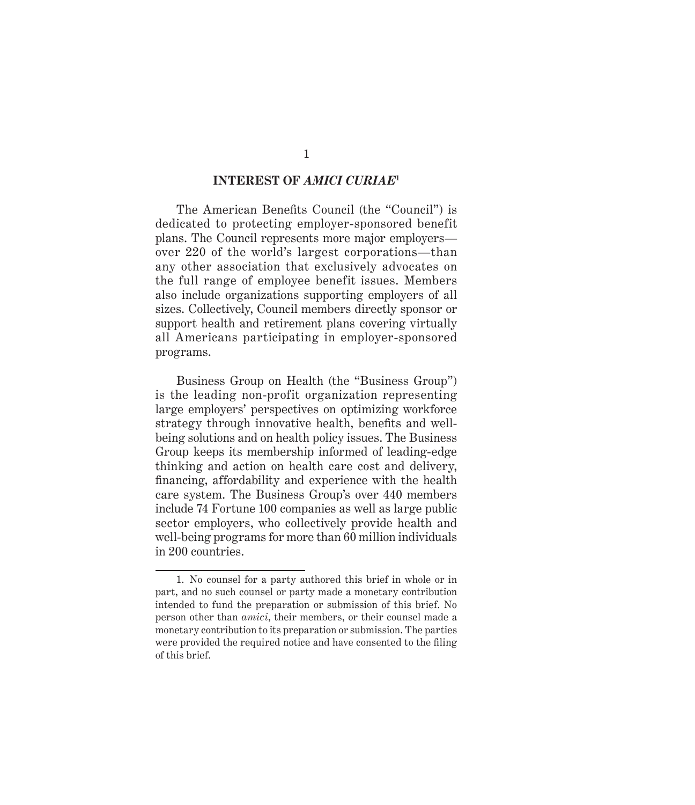#### **INTEREST OF** *AMICI CURIAE***<sup>1</sup>**

The American Benefits Council (the "Council") is dedicated to protecting employer-sponsored benefit plans. The Council represents more major employers over 220 of the world's largest corporations—than any other association that exclusively advocates on the full range of employee benefit issues. Members also include organizations supporting employers of all sizes. Collectively, Council members directly sponsor or support health and retirement plans covering virtually all Americans participating in employer-sponsored programs.

Business Group on Health (the "Business Group") is the leading non-profit organization representing large employers' perspectives on optimizing workforce strategy through innovative health, benefits and wellbeing solutions and on health policy issues. The Business Group keeps its membership informed of leading-edge thinking and action on health care cost and delivery, financing, affordability and experience with the health care system. The Business Group's over 440 members include 74 Fortune 100 companies as well as large public sector employers, who collectively provide health and well-being programs for more than 60 million individuals in 200 countries.

<sup>1.</sup> No counsel for a party authored this brief in whole or in part, and no such counsel or party made a monetary contribution intended to fund the preparation or submission of this brief. No person other than *amici*, their members, or their counsel made a monetary contribution to its preparation or submission. The parties were provided the required notice and have consented to the filing of this brief.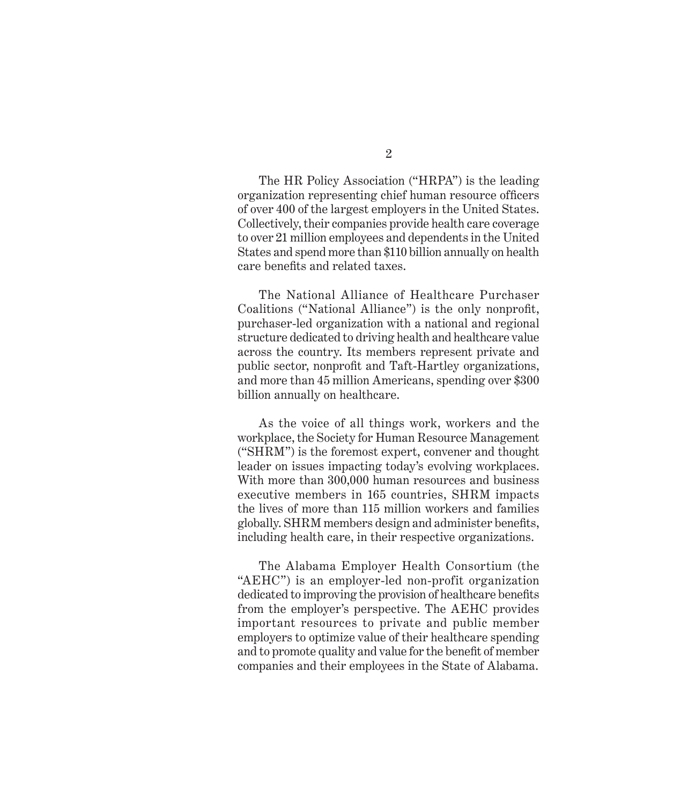2

The HR Policy Association ("HRPA") is the leading organization representing chief human resource officers of over 400 of the largest employers in the United States. Collectively, their companies provide health care coverage to over 21 million employees and dependents in the United States and spend more than \$110 billion annually on health care benefits and related taxes.

The National Alliance of Healthcare Purchaser Coalitions ("National Alliance") is the only nonprofit, purchaser-led organization with a national and regional structure dedicated to driving health and healthcare value across the country. Its members represent private and public sector, nonprofit and Taft-Hartley organizations, and more than 45 million Americans, spending over \$300 billion annually on healthcare.

As the voice of all things work, workers and the workplace, the Society for Human Resource Management ("SHRM") is the foremost expert, convener and thought leader on issues impacting today's evolving workplaces. With more than 300,000 human resources and business executive members in 165 countries, SHRM impacts the lives of more than 115 million workers and families globally. SHRM members design and administer benefits, including health care, in their respective organizations.

The Alabama Employer Health Consortium (the "AEHC") is an employer-led non-profit organization dedicated to improving the provision of healthcare benefits from the employer's perspective. The AEHC provides important resources to private and public member employers to optimize value of their healthcare spending and to promote quality and value for the benefit of member companies and their employees in the State of Alabama.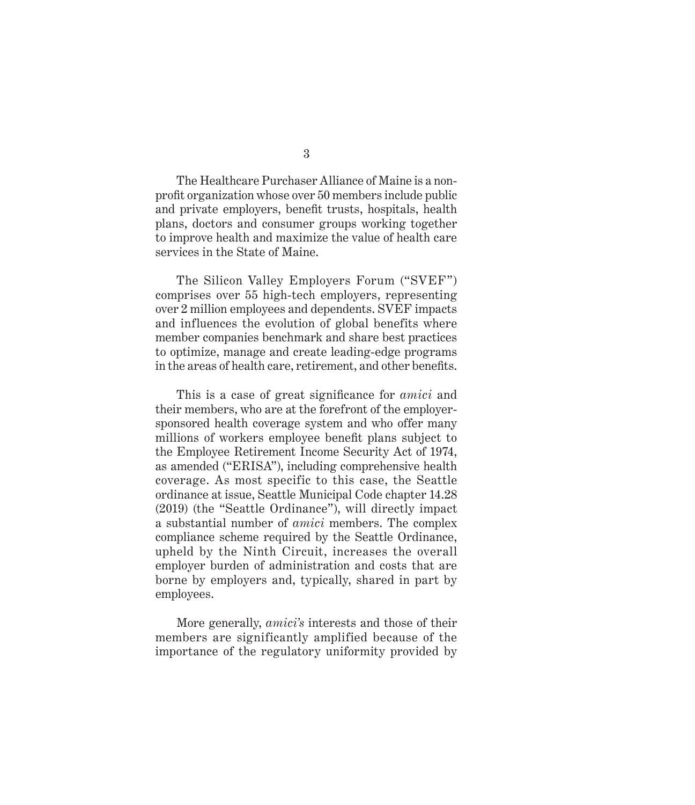The Healthcare Purchaser Alliance of Maine is a nonprofit organization whose over 50 members include public and private employers, benefit trusts, hospitals, health plans, doctors and consumer groups working together to improve health and maximize the value of health care services in the State of Maine.

The Silicon Valley Employers Forum ("SVEF") comprises over 55 high-tech employers, representing over 2 million employees and dependents. SVEF impacts and influences the evolution of global benefits where member companies benchmark and share best practices to optimize, manage and create leading-edge programs in the areas of health care, retirement, and other benefits.

This is a case of great significance for *amici* and their members, who are at the forefront of the employersponsored health coverage system and who offer many millions of workers employee benefit plans subject to the Employee Retirement Income Security Act of 1974, as amended ("ERISA"), including comprehensive health coverage. As most specific to this case, the Seattle ordinance at issue, Seattle Municipal Code chapter 14.28 (2019) (the "Seattle Ordinance"), will directly impact a substantial number of *amici* members. The complex compliance scheme required by the Seattle Ordinance, upheld by the Ninth Circuit, increases the overall employer burden of administration and costs that are borne by employers and, typically, shared in part by employees.

More generally, *amici's* interests and those of their members are significantly amplified because of the importance of the regulatory uniformity provided by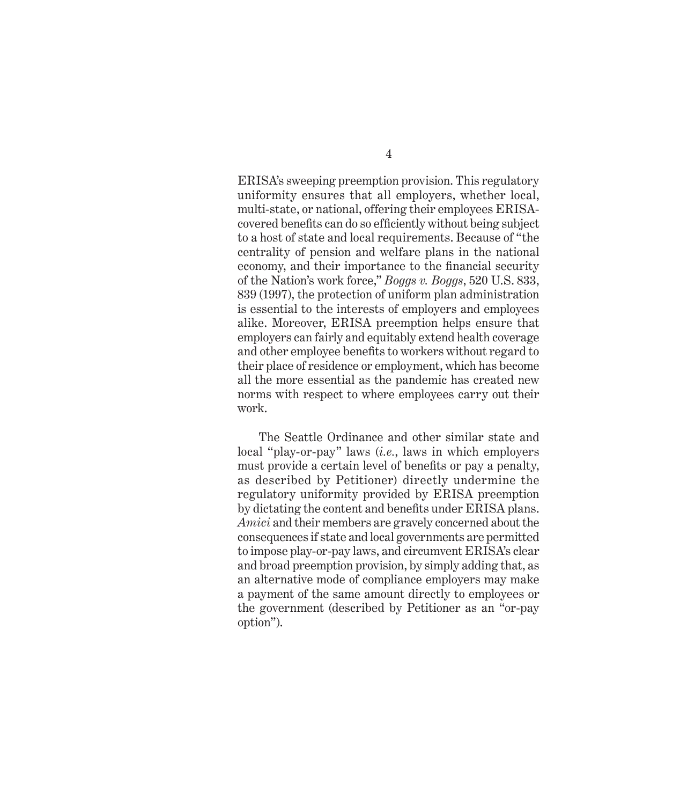ERISA's sweeping preemption provision. This regulatory uniformity ensures that all employers, whether local, multi-state, or national, offering their employees ERISAcovered benefits can do so efficiently without being subject to a host of state and local requirements. Because of "the centrality of pension and welfare plans in the national economy, and their importance to the financial security of the Nation's work force," *Boggs v. Boggs*, 520 U.S. 833, 839 (1997), the protection of uniform plan administration is essential to the interests of employers and employees alike. Moreover, ERISA preemption helps ensure that employers can fairly and equitably extend health coverage and other employee benefits to workers without regard to their place of residence or employment, which has become all the more essential as the pandemic has created new norms with respect to where employees carry out their work.

The Seattle Ordinance and other similar state and local "play-or-pay" laws (*i.e.*, laws in which employers must provide a certain level of benefits or pay a penalty, as described by Petitioner) directly undermine the regulatory uniformity provided by ERISA preemption by dictating the content and benefits under ERISA plans. *Amici* and their members are gravely concerned about the consequences if state and local governments are permitted to impose play-or-pay laws, and circumvent ERISA's clear and broad preemption provision, by simply adding that, as an alternative mode of compliance employers may make a payment of the same amount directly to employees or the government (described by Petitioner as an "or-pay option").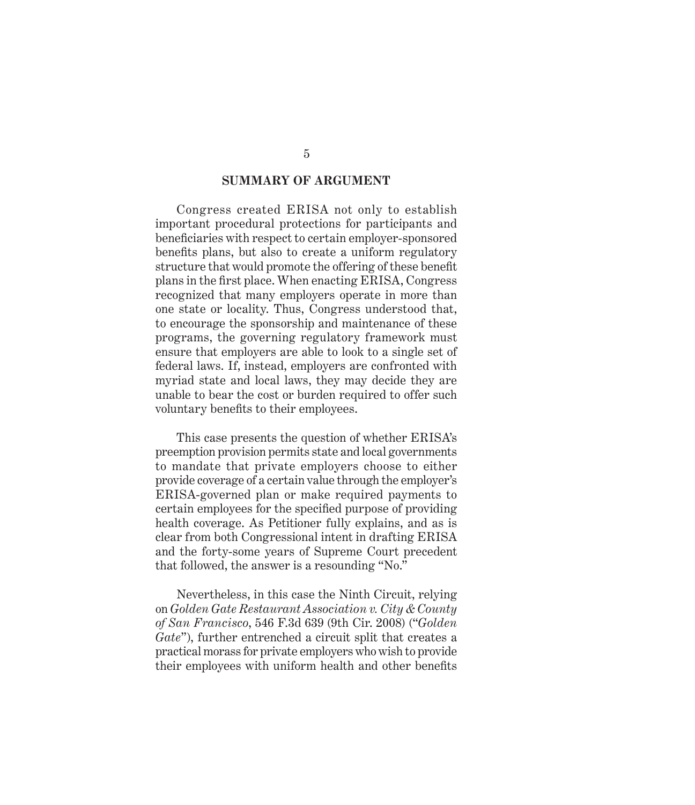### **SUMMARY OF ARGUMENT**

Congress created ERISA not only to establish important procedural protections for participants and beneficiaries with respect to certain employer-sponsored benefits plans, but also to create a uniform regulatory structure that would promote the offering of these benefit plans in the first place. When enacting ERISA, Congress recognized that many employers operate in more than one state or locality. Thus, Congress understood that, to encourage the sponsorship and maintenance of these programs, the governing regulatory framework must ensure that employers are able to look to a single set of federal laws. If, instead, employers are confronted with myriad state and local laws, they may decide they are unable to bear the cost or burden required to offer such voluntary benefits to their employees.

This case presents the question of whether ERISA's preemption provision permits state and local governments to mandate that private employers choose to either provide coverage of a certain value through the employer's ERISA-governed plan or make required payments to certain employees for the specified purpose of providing health coverage. As Petitioner fully explains, and as is clear from both Congressional intent in drafting ERISA and the forty-some years of Supreme Court precedent that followed, the answer is a resounding "No."

Nevertheless, in this case the Ninth Circuit, relying on *Golden Gate Restaurant Association v. City & County of San Francisco*, 546 F.3d 639 (9th Cir. 2008) ("*Golden Gate*"), further entrenched a circuit split that creates a practical morass for private employers who wish to provide their employees with uniform health and other benefits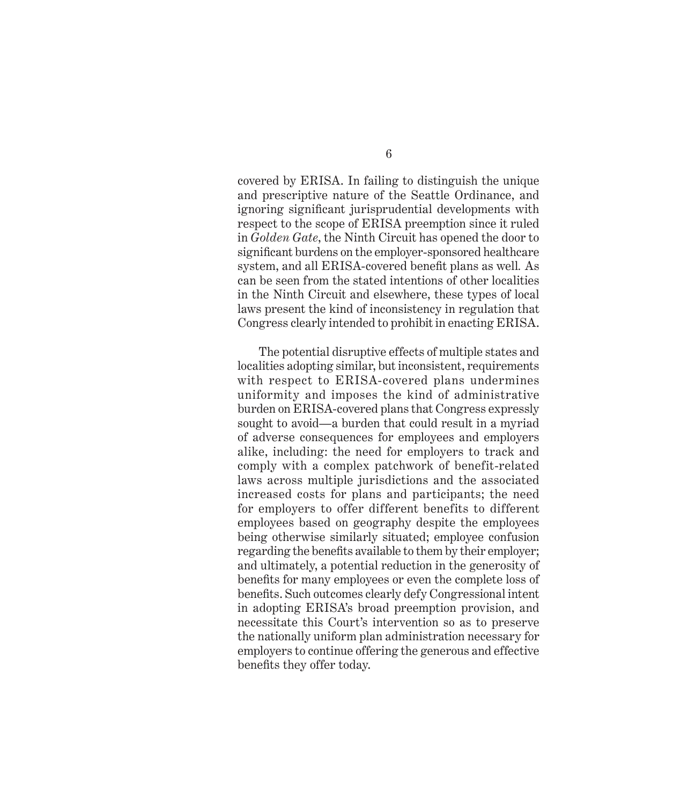covered by ERISA. In failing to distinguish the unique and prescriptive nature of the Seattle Ordinance, and ignoring significant jurisprudential developments with respect to the scope of ERISA preemption since it ruled in *Golden Gate*, the Ninth Circuit has opened the door to significant burdens on the employer-sponsored healthcare system, and all ERISA-covered benefit plans as well*.* As can be seen from the stated intentions of other localities in the Ninth Circuit and elsewhere, these types of local laws present the kind of inconsistency in regulation that Congress clearly intended to prohibit in enacting ERISA.

The potential disruptive effects of multiple states and localities adopting similar, but inconsistent, requirements with respect to ERISA-covered plans undermines uniformity and imposes the kind of administrative burden on ERISA-covered plans that Congress expressly sought to avoid—a burden that could result in a myriad of adverse consequences for employees and employers alike, including: the need for employers to track and comply with a complex patchwork of benefit-related laws across multiple jurisdictions and the associated increased costs for plans and participants; the need for employers to offer different benefits to different employees based on geography despite the employees being otherwise similarly situated; employee confusion regarding the benefits available to them by their employer; and ultimately, a potential reduction in the generosity of benefits for many employees or even the complete loss of benefits. Such outcomes clearly defy Congressional intent in adopting ERISA's broad preemption provision, and necessitate this Court's intervention so as to preserve the nationally uniform plan administration necessary for employers to continue offering the generous and effective benefits they offer today.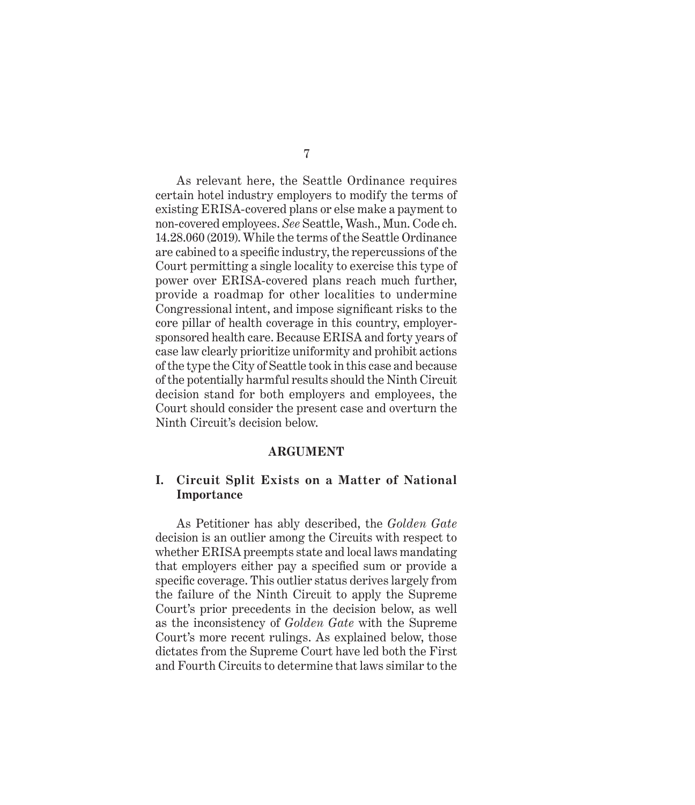As relevant here, the Seattle Ordinance requires certain hotel industry employers to modify the terms of existing ERISA-covered plans or else make a payment to non-covered employees. *See* Seattle, Wash., Mun. Code ch. 14.28.060 (2019). While the terms of the Seattle Ordinance are cabined to a specific industry, the repercussions of the Court permitting a single locality to exercise this type of power over ERISA-covered plans reach much further, provide a roadmap for other localities to undermine Congressional intent, and impose significant risks to the core pillar of health coverage in this country, employersponsored health care. Because ERISA and forty years of case law clearly prioritize uniformity and prohibit actions of the type the City of Seattle took in this case and because of the potentially harmful results should the Ninth Circuit decision stand for both employers and employees, the Court should consider the present case and overturn the Ninth Circuit's decision below.

#### **ARGUMENT**

### **I. Circuit Split Exists on a Matter of National Importance**

As Petitioner has ably described, the *Golden Gate* decision is an outlier among the Circuits with respect to whether ERISA preempts state and local laws mandating that employers either pay a specified sum or provide a specific coverage. This outlier status derives largely from the failure of the Ninth Circuit to apply the Supreme Court's prior precedents in the decision below, as well as the inconsistency of *Golden Gate* with the Supreme Court's more recent rulings. As explained below, those dictates from the Supreme Court have led both the First and Fourth Circuits to determine that laws similar to the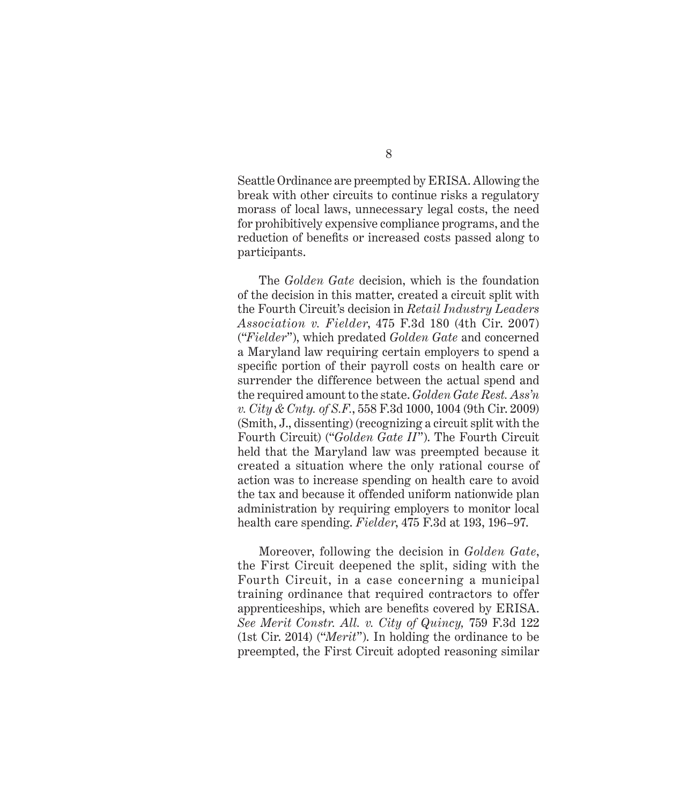Seattle Ordinance are preempted by ERISA. Allowing the break with other circuits to continue risks a regulatory morass of local laws, unnecessary legal costs, the need for prohibitively expensive compliance programs, and the reduction of benefits or increased costs passed along to participants.

The *Golden Gate* decision, which is the foundation of the decision in this matter, created a circuit split with the Fourth Circuit's decision in *Retail Industry Leaders Association v. Fielder*, 475 F.3d 180 (4th Cir. 2007) ("*Fielder*"), which predated *Golden Gate* and concerned a Maryland law requiring certain employers to spend a specific portion of their payroll costs on health care or surrender the difference between the actual spend and the required amount to the state. *Golden Gate Rest. Ass'n v. City & Cnty. of S.F.*, 558 F.3d 1000, 1004 (9th Cir. 2009) (Smith, J., dissenting) (recognizing a circuit split with the Fourth Circuit) ("*Golden Gate II*"). The Fourth Circuit held that the Maryland law was preempted because it created a situation where the only rational course of action was to increase spending on health care to avoid the tax and because it offended uniform nationwide plan administration by requiring employers to monitor local health care spending. *Fielder*, 475 F.3d at 193, 196–97.

Moreover, following the decision in *Golden Gate*, the First Circuit deepened the split, siding with the Fourth Circuit, in a case concerning a municipal training ordinance that required contractors to offer apprenticeships, which are benefits covered by ERISA. *See Merit Constr. All. v. City of Quincy,* 759 F.3d 122 (1st Cir. 2014) ("*Merit*"). In holding the ordinance to be preempted, the First Circuit adopted reasoning similar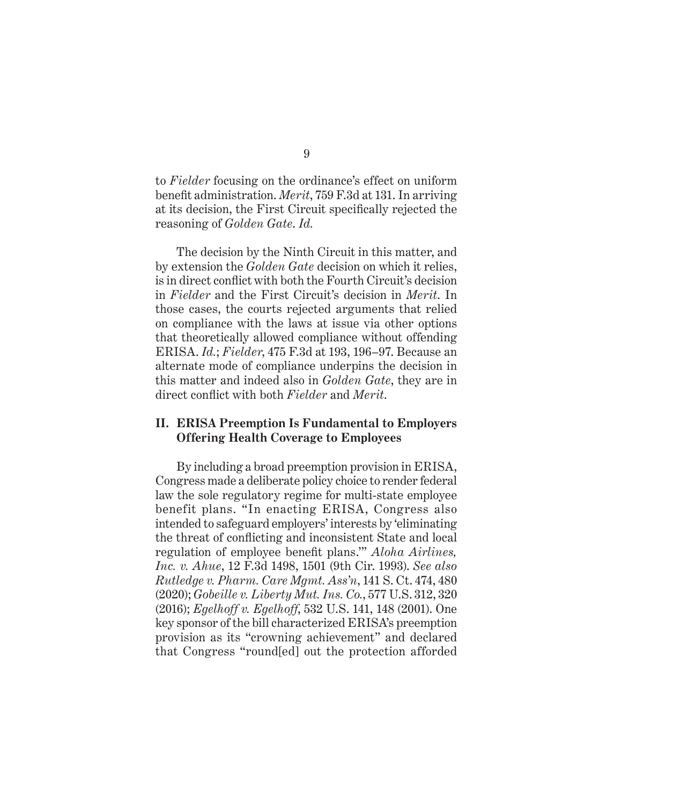to *Fielder* focusing on the ordinance's effect on uniform benefit administration. *Merit*, 759 F.3d at 131. In arriving at its decision, the First Circuit specifically rejected the reasoning of *Golden Gate*. *Id.* 

The decision by the Ninth Circuit in this matter, and by extension the *Golden Gate* decision on which it relies, is in direct conflict with both the Fourth Circuit's decision in *Fielder* and the First Circuit's decision in *Merit*. In those cases, the courts rejected arguments that relied on compliance with the laws at issue via other options that theoretically allowed compliance without offending ERISA. *Id.*; *Fielder*, 475 F.3d at 193, 196–97. Because an alternate mode of compliance underpins the decision in this matter and indeed also in *Golden Gate*, they are in direct conflict with both *Fielder* and *Merit*.

### **II. ERISA Preemption Is Fundamental to Employers Offering Health Coverage to Employees**

By including a broad preemption provision in ERISA, Congress made a deliberate policy choice to render federal law the sole regulatory regime for multi-state employee benefit plans. "In enacting ERISA, Congress also intended to safeguard employers' interests by 'eliminating the threat of conflicting and inconsistent State and local regulation of employee benefit plans.'" *Aloha Airlines, Inc. v. Ahue*, 12 F.3d 1498, 1501 (9th Cir. 1993). *See also Rutledge v. Pharm. Care Mgmt. Ass'n*, 141 S. Ct. 474, 480 (2020); *Gobeille v. Liberty Mut. Ins. Co.*, 577 U.S. 312, 320 (2016); *Egelhoff v. Egelhoff*, 532 U.S. 141, 148 (2001). One key sponsor of the bill characterized ERISA's preemption provision as its "crowning achievement" and declared that Congress "round[ed] out the protection afforded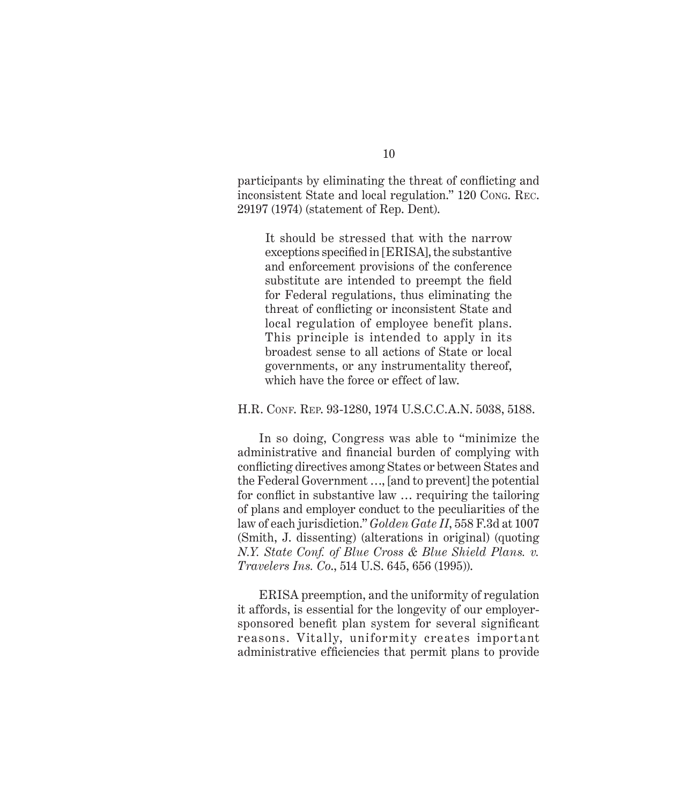participants by eliminating the threat of conflicting and inconsistent State and local regulation." 120 Cong. Rec. 29197 (1974) (statement of Rep. Dent).

It should be stressed that with the narrow exceptions specified in [ERISA], the substantive and enforcement provisions of the conference substitute are intended to preempt the field for Federal regulations, thus eliminating the threat of conflicting or inconsistent State and local regulation of employee benefit plans. This principle is intended to apply in its broadest sense to all actions of State or local governments, or any instrumentality thereof, which have the force or effect of law.

#### H.R. Conf. Rep. 93-1280, 1974 U.S.C.C.A.N. 5038, 5188.

In so doing, Congress was able to "minimize the administrative and financial burden of complying with conflicting directives among States or between States and the Federal Government …, [and to prevent] the potential for conflict in substantive law … requiring the tailoring of plans and employer conduct to the peculiarities of the law of each jurisdiction." *Golden Gate II*, 558 F.3d at 1007 (Smith, J. dissenting) (alterations in original) (quoting *N.Y. State Conf. of Blue Cross & Blue Shield Plans. v. Travelers Ins. Co*., 514 U.S. 645, 656 (1995)).

ERISA preemption, and the uniformity of regulation it affords, is essential for the longevity of our employersponsored benefit plan system for several significant reasons. Vitally, uniformity creates important administrative efficiencies that permit plans to provide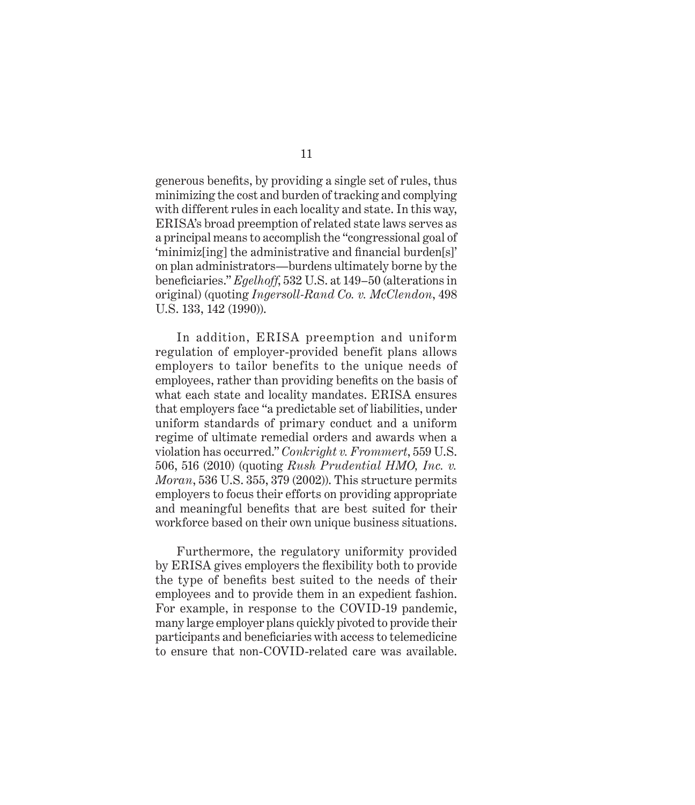generous benefits, by providing a single set of rules, thus minimizing the cost and burden of tracking and complying with different rules in each locality and state. In this way, ERISA's broad preemption of related state laws serves as a principal means to accomplish the "congressional goal of 'minimiz[ing] the administrative and financial burden[s]' on plan administrators—burdens ultimately borne by the beneficiaries." *Egelhoff*, 532 U.S. at 149–50 (alterations in original) (quoting *Ingersoll-Rand Co. v. McClendon*, 498 U.S. 133, 142 (1990)).

In addition, ERISA preemption and uniform regulation of employer-provided benefit plans allows employers to tailor benefits to the unique needs of employees, rather than providing benefits on the basis of what each state and locality mandates. ERISA ensures that employers face "a predictable set of liabilities, under uniform standards of primary conduct and a uniform regime of ultimate remedial orders and awards when a violation has occurred." *Conkright v. Frommert*, 559 U.S. 506, 516 (2010) (quoting *Rush Prudential HMO, Inc. v. Moran*, 536 U.S. 355, 379 (2002)). This structure permits employers to focus their efforts on providing appropriate and meaningful benefits that are best suited for their workforce based on their own unique business situations.

Furthermore, the regulatory uniformity provided by ERISA gives employers the flexibility both to provide the type of benefits best suited to the needs of their employees and to provide them in an expedient fashion. For example, in response to the COVID-19 pandemic, many large employer plans quickly pivoted to provide their participants and beneficiaries with access to telemedicine to ensure that non-COVID-related care was available.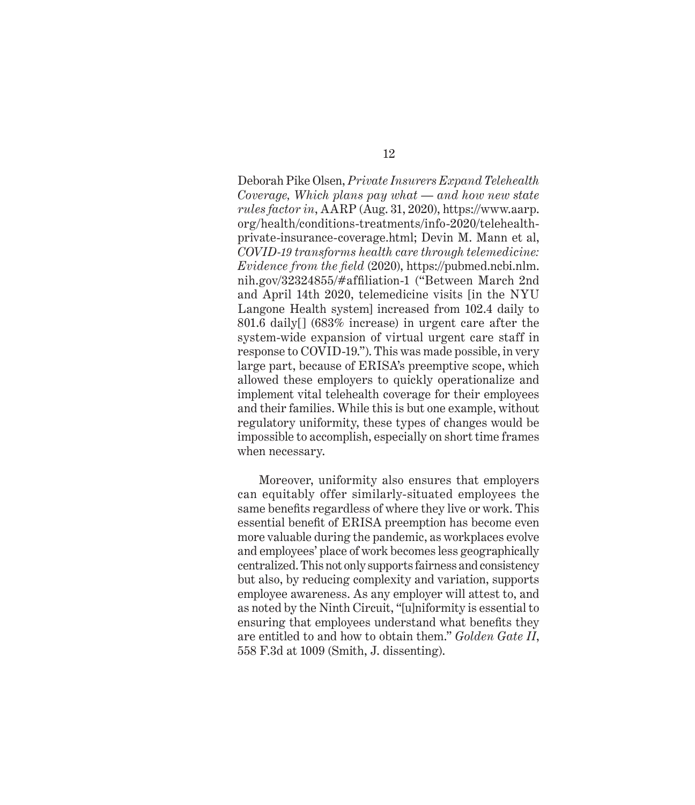Deborah Pike Olsen, *Private Insurers Expand Telehealth Coverage, Which plans pay what — and how new state rules factor in*, AARP (Aug. 31, 2020), https://www.aarp. org/health/conditions-treatments/info-2020/telehealthprivate-insurance-coverage.html; Devin M. Mann et al, *COVID-19 transforms health care through telemedicine: Evidence from the field* (2020), https://pubmed.ncbi.nlm. nih.gov/32324855/#affiliation-1 ("Between March 2nd and April 14th 2020, telemedicine visits [in the NYU Langone Health system] increased from 102.4 daily to 801.6 daily[] (683% increase) in urgent care after the system-wide expansion of virtual urgent care staff in response to COVID-19."). This was made possible, in very large part, because of ERISA's preemptive scope, which allowed these employers to quickly operationalize and implement vital telehealth coverage for their employees and their families. While this is but one example, without regulatory uniformity, these types of changes would be impossible to accomplish, especially on short time frames when necessary.

Moreover, uniformity also ensures that employers can equitably offer similarly-situated employees the same benefits regardless of where they live or work. This essential benefit of ERISA preemption has become even more valuable during the pandemic, as workplaces evolve and employees' place of work becomes less geographically centralized. This not only supports fairness and consistency but also, by reducing complexity and variation, supports employee awareness. As any employer will attest to, and as noted by the Ninth Circuit, "[u]niformity is essential to ensuring that employees understand what benefits they are entitled to and how to obtain them." *Golden Gate II*, 558 F.3d at 1009 (Smith, J. dissenting).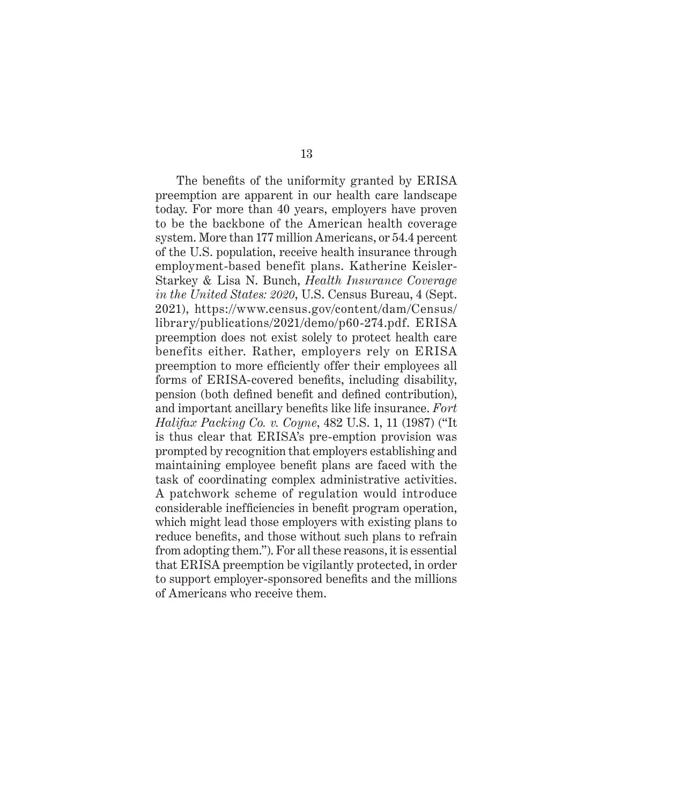The benefits of the uniformity granted by ERISA preemption are apparent in our health care landscape today. For more than 40 years, employers have proven to be the backbone of the American health coverage system. More than 177 million Americans, or 54.4 percent of the U.S. population, receive health insurance through employment-based benefit plans. Katherine Keisler-Starkey & Lisa N. Bunch, *Health Insurance Coverage in the United States: 2020*, U.S. Census Bureau, 4 (Sept. 2021), https://www.census.gov/content/dam/Census/ library/publications/2021/demo/p60-274.pdf. ERISA preemption does not exist solely to protect health care benefits either. Rather, employers rely on ERISA preemption to more efficiently offer their employees all forms of ERISA-covered benefits, including disability, pension (both defined benefit and defined contribution), and important ancillary benefits like life insurance. *Fort Halifax Packing Co. v. Coyne*, 482 U.S. 1, 11 (1987) ("It is thus clear that ERISA's pre-emption provision was prompted by recognition that employers establishing and maintaining employee benefit plans are faced with the task of coordinating complex administrative activities. A patchwork scheme of regulation would introduce considerable inefficiencies in benefit program operation, which might lead those employers with existing plans to reduce benefits, and those without such plans to refrain from adopting them."). For all these reasons, it is essential that ERISA preemption be vigilantly protected, in order to support employer-sponsored benefits and the millions of Americans who receive them.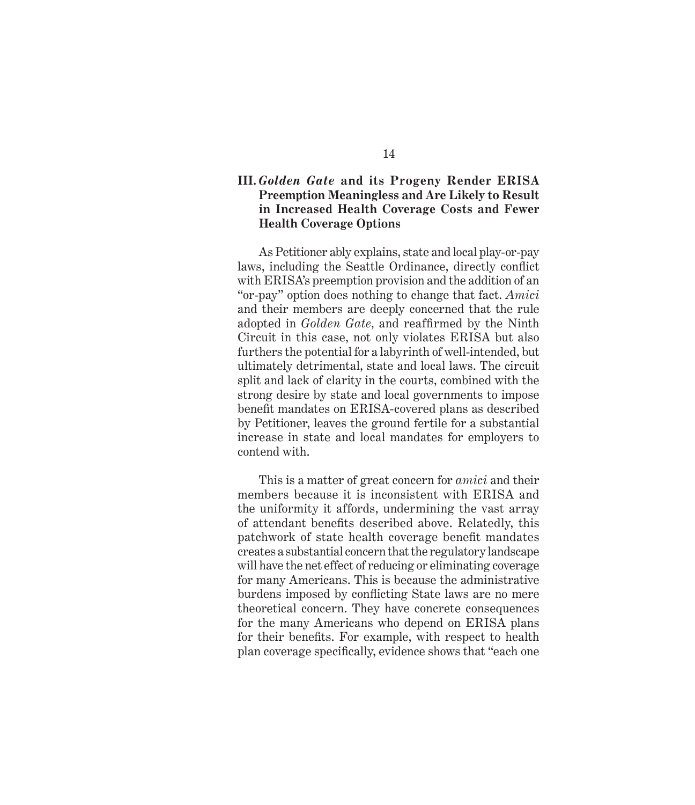### **III.** *Golden Gate* **and its Progeny Render ERISA Preemption Meaningless and Are Likely to Result in Increased Health Coverage Costs and Fewer Health Coverage Options**

As Petitioner ably explains, state and local play-or-pay laws, including the Seattle Ordinance, directly conflict with ERISA's preemption provision and the addition of an "or-pay" option does nothing to change that fact. *Amici* and their members are deeply concerned that the rule adopted in *Golden Gate*, and reaffirmed by the Ninth Circuit in this case, not only violates ERISA but also furthers the potential for a labyrinth of well-intended, but ultimately detrimental, state and local laws. The circuit split and lack of clarity in the courts, combined with the strong desire by state and local governments to impose benefit mandates on ERISA-covered plans as described by Petitioner, leaves the ground fertile for a substantial increase in state and local mandates for employers to contend with.

This is a matter of great concern for *amici* and their members because it is inconsistent with ERISA and the uniformity it affords, undermining the vast array of attendant benefits described above. Relatedly, this patchwork of state health coverage benefit mandates creates a substantial concern that the regulatory landscape will have the net effect of reducing or eliminating coverage for many Americans. This is because the administrative burdens imposed by conflicting State laws are no mere theoretical concern. They have concrete consequences for the many Americans who depend on ERISA plans for their benefits. For example, with respect to health plan coverage specifically, evidence shows that "each one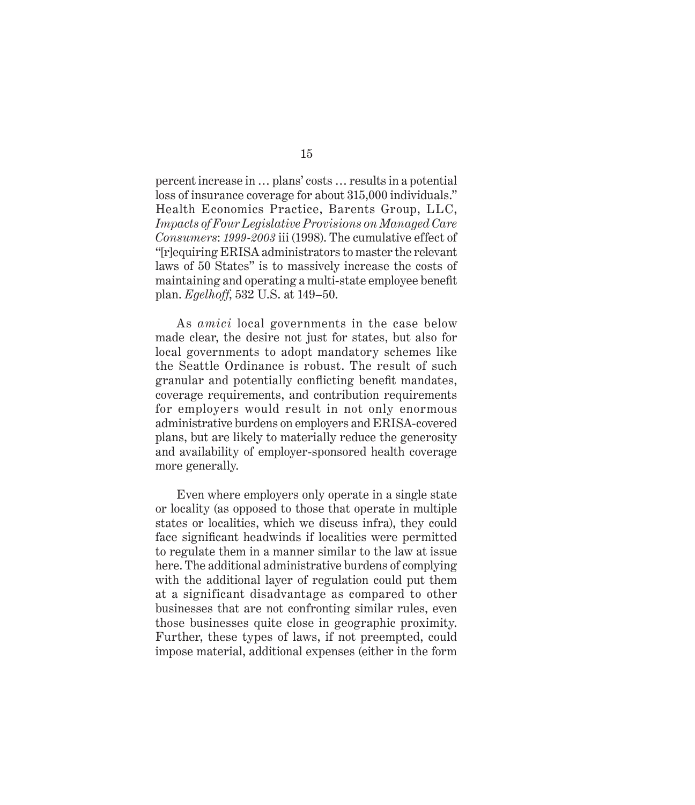percent increase in … plans' costs … results in a potential loss of insurance coverage for about 315,000 individuals." Health Economics Practice, Barents Group, LLC, *Impacts of Four Legislative Provisions on Managed Care Consumers*: *1999-2003* iii (1998). The cumulative effect of "[r]equiring ERISA administrators to master the relevant laws of 50 States" is to massively increase the costs of maintaining and operating a multi-state employee benefit plan. *Egelhoff*, 532 U.S. at 149–50.

As *amici* local governments in the case below made clear, the desire not just for states, but also for local governments to adopt mandatory schemes like the Seattle Ordinance is robust. The result of such granular and potentially conflicting benefit mandates, coverage requirements, and contribution requirements for employers would result in not only enormous administrative burdens on employers and ERISA-covered plans, but are likely to materially reduce the generosity and availability of employer-sponsored health coverage more generally.

Even where employers only operate in a single state or locality (as opposed to those that operate in multiple states or localities, which we discuss infra), they could face significant headwinds if localities were permitted to regulate them in a manner similar to the law at issue here. The additional administrative burdens of complying with the additional layer of regulation could put them at a significant disadvantage as compared to other businesses that are not confronting similar rules, even those businesses quite close in geographic proximity. Further, these types of laws, if not preempted, could impose material, additional expenses (either in the form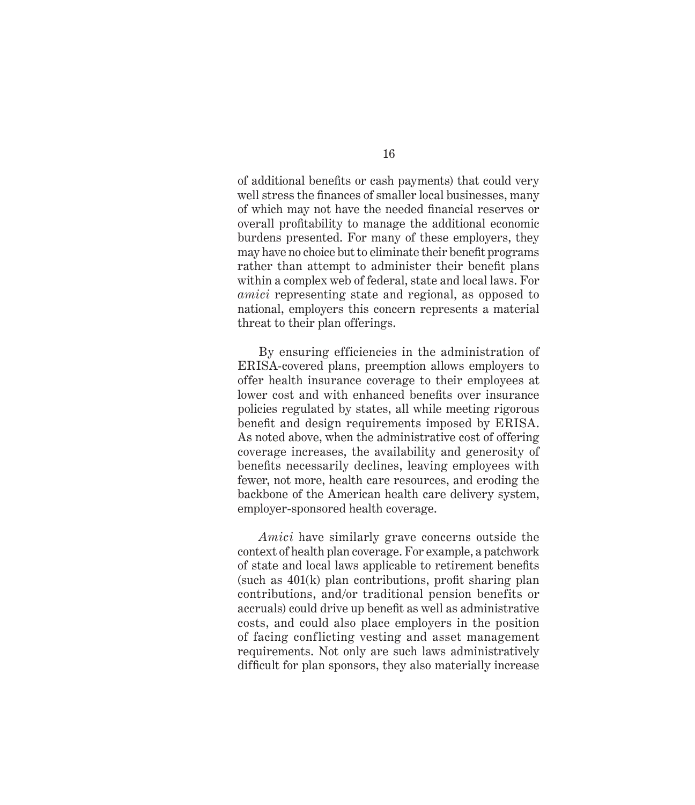of additional benefits or cash payments) that could very well stress the finances of smaller local businesses, many of which may not have the needed financial reserves or overall profitability to manage the additional economic burdens presented. For many of these employers, they may have no choice but to eliminate their benefit programs rather than attempt to administer their benefit plans within a complex web of federal, state and local laws. For *amici* representing state and regional, as opposed to national, employers this concern represents a material threat to their plan offerings.

By ensuring efficiencies in the administration of ERISA-covered plans, preemption allows employers to offer health insurance coverage to their employees at lower cost and with enhanced benefits over insurance policies regulated by states, all while meeting rigorous benefit and design requirements imposed by ERISA. As noted above, when the administrative cost of offering coverage increases, the availability and generosity of benefits necessarily declines, leaving employees with fewer, not more, health care resources, and eroding the backbone of the American health care delivery system, employer-sponsored health coverage.

*Amici* have similarly grave concerns outside the context of health plan coverage. For example, a patchwork of state and local laws applicable to retirement benefits (such as 401(k) plan contributions, profit sharing plan contributions, and/or traditional pension benefits or accruals) could drive up benefit as well as administrative costs, and could also place employers in the position of facing conflicting vesting and asset management requirements. Not only are such laws administratively difficult for plan sponsors, they also materially increase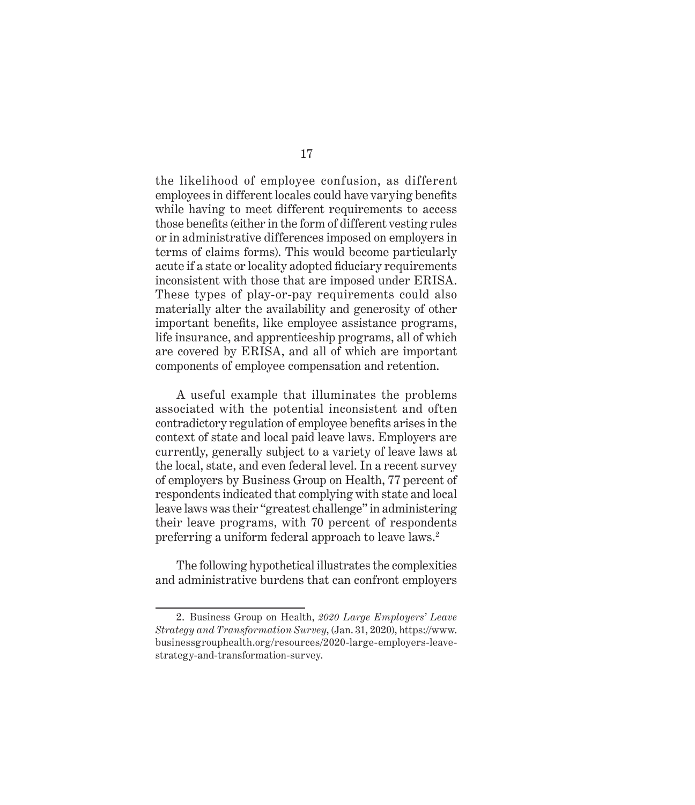the likelihood of employee confusion, as different employees in different locales could have varying benefits while having to meet different requirements to access those benefits (either in the form of different vesting rules or in administrative differences imposed on employers in terms of claims forms). This would become particularly acute if a state or locality adopted fiduciary requirements inconsistent with those that are imposed under ERISA. These types of play-or-pay requirements could also materially alter the availability and generosity of other important benefits, like employee assistance programs, life insurance, and apprenticeship programs, all of which are covered by ERISA, and all of which are important components of employee compensation and retention.

A useful example that illuminates the problems associated with the potential inconsistent and often contradictory regulation of employee benefits arises in the context of state and local paid leave laws. Employers are currently, generally subject to a variety of leave laws at the local, state, and even federal level. In a recent survey of employers by Business Group on Health, 77 percent of respondents indicated that complying with state and local leave laws was their "greatest challenge" in administering their leave programs, with 70 percent of respondents preferring a uniform federal approach to leave laws.2

The following hypothetical illustrates the complexities and administrative burdens that can confront employers

<sup>2.</sup> Business Group on Health, *2020 Large Employers' Leave Strategy and Transformation Survey*, (Jan. 31, 2020), https://www. businessgrouphealth.org/resources/2020-large-employers-leavestrategy-and-transformation-survey.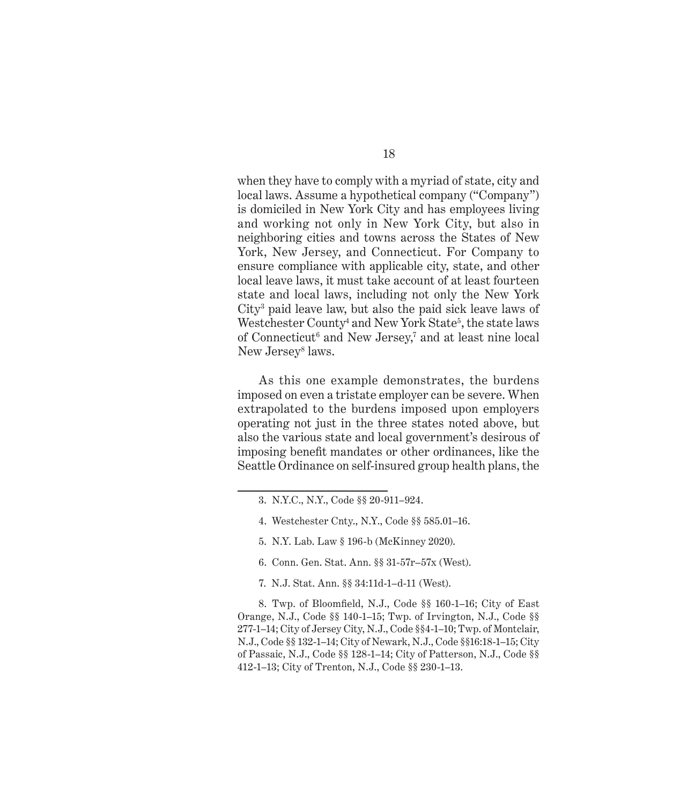when they have to comply with a myriad of state, city and local laws. Assume a hypothetical company ("Company") is domiciled in New York City and has employees living and working not only in New York City, but also in neighboring cities and towns across the States of New York, New Jersey, and Connecticut. For Company to ensure compliance with applicable city, state, and other local leave laws, it must take account of at least fourteen state and local laws, including not only the New York City3 paid leave law, but also the paid sick leave laws of Westchester County<sup>4</sup> and New York State<sup>5</sup>, the state laws of Connecticut<sup>6</sup> and New Jersey,<sup>7</sup> and at least nine local New Jersey<sup>8</sup> laws.

As this one example demonstrates, the burdens imposed on even a tristate employer can be severe. When extrapolated to the burdens imposed upon employers operating not just in the three states noted above, but also the various state and local government's desirous of imposing benefit mandates or other ordinances, like the Seattle Ordinance on self-insured group health plans, the

- 4. Westchester Cnty., N.Y., Code §§ 585.01–16.
- 5. N.Y. Lab. Law § 196-b (McKinney 2020).
- 6. Conn. Gen. Stat. Ann. §§ 31-57r–57x (West).
- 7. N.J. Stat. Ann. §§ 34:11d-1–d-11 (West).

8. Twp. of Bloomfield, N.J., Code §§ 160-1–16; City of East Orange, N.J., Code §§ 140-1–15; Twp. of Irvington, N.J., Code §§ 277-1–14; City of Jersey City, N.J., Code §§4-1–10; Twp. of Montclair, N.J., Code §§ 132-1–14; City of Newark, N.J., Code §§16:18-1–15; City of Passaic, N.J., Code §§ 128-1–14; City of Patterson, N.J., Code §§ 412-1–13; City of Trenton, N.J., Code §§ 230-1–13.

<sup>3.</sup> N.Y.C., N.Y., Code §§ 20-911–924.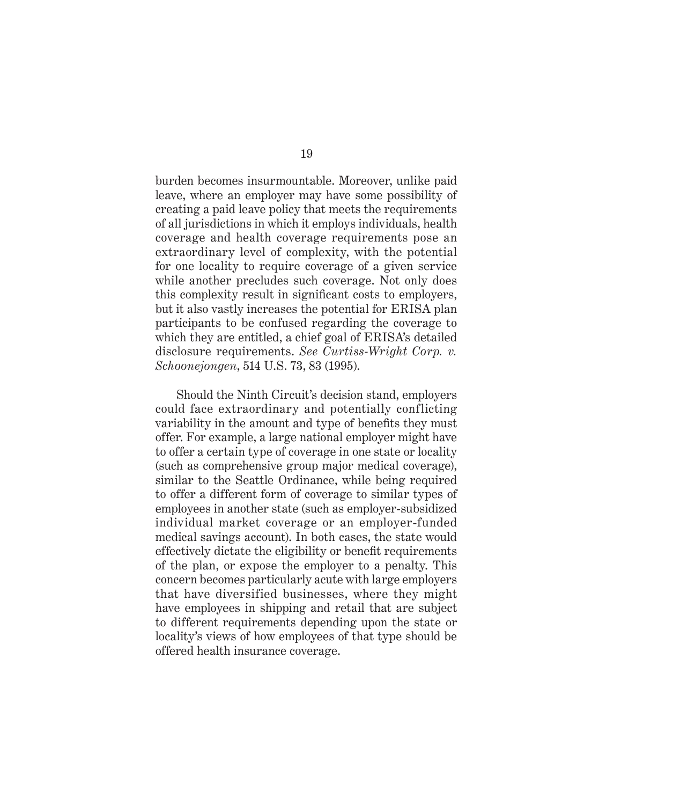burden becomes insurmountable. Moreover, unlike paid leave, where an employer may have some possibility of creating a paid leave policy that meets the requirements of all jurisdictions in which it employs individuals, health coverage and health coverage requirements pose an extraordinary level of complexity, with the potential for one locality to require coverage of a given service while another precludes such coverage. Not only does this complexity result in significant costs to employers, but it also vastly increases the potential for ERISA plan participants to be confused regarding the coverage to which they are entitled, a chief goal of ERISA's detailed disclosure requirements. *See Curtiss-Wright Corp. v. Schoonejongen*, 514 U.S. 73, 83 (1995).

Should the Ninth Circuit's decision stand, employers could face extraordinary and potentially conflicting variability in the amount and type of benefits they must offer. For example, a large national employer might have to offer a certain type of coverage in one state or locality (such as comprehensive group major medical coverage), similar to the Seattle Ordinance, while being required to offer a different form of coverage to similar types of employees in another state (such as employer-subsidized individual market coverage or an employer-funded medical savings account). In both cases, the state would effectively dictate the eligibility or benefit requirements of the plan, or expose the employer to a penalty. This concern becomes particularly acute with large employers that have diversified businesses, where they might have employees in shipping and retail that are subject to different requirements depending upon the state or locality's views of how employees of that type should be offered health insurance coverage.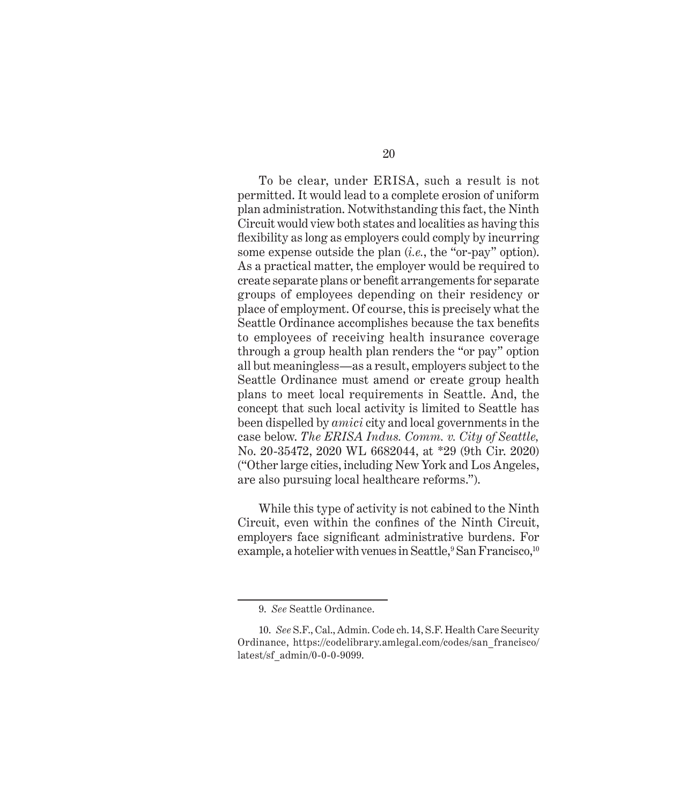To be clear, under ERISA, such a result is not permitted. It would lead to a complete erosion of uniform plan administration. Notwithstanding this fact, the Ninth Circuit would view both states and localities as having this flexibility as long as employers could comply by incurring some expense outside the plan (*i.e.*, the "or-pay" option). As a practical matter, the employer would be required to create separate plans or benefit arrangements for separate groups of employees depending on their residency or place of employment. Of course, this is precisely what the Seattle Ordinance accomplishes because the tax benefits to employees of receiving health insurance coverage through a group health plan renders the "or pay" option all but meaningless—as a result, employers subject to the Seattle Ordinance must amend or create group health plans to meet local requirements in Seattle. And, the concept that such local activity is limited to Seattle has been dispelled by *amici* city and local governments in the case below. *The ERISA Indus. Comm. v. City of Seattle,* No. 20-35472, 2020 WL 6682044, at \*29 (9th Cir. 2020) ("Other large cities, including New York and Los Angeles, are also pursuing local healthcare reforms.").

While this type of activity is not cabined to the Ninth Circuit, even within the confines of the Ninth Circuit, employers face significant administrative burdens. For example, a hotelier with venues in Seattle,<sup>9</sup> San Francisco,<sup>10</sup>

<sup>9.</sup> *See* Seattle Ordinance.

<sup>10.</sup> *See* S.F., Cal., Admin. Code ch. 14, S.F. Health Care Security Ordinance, https://codelibrary.amlegal.com/codes/san\_francisco/ latest/sf\_admin/0-0-0-9099.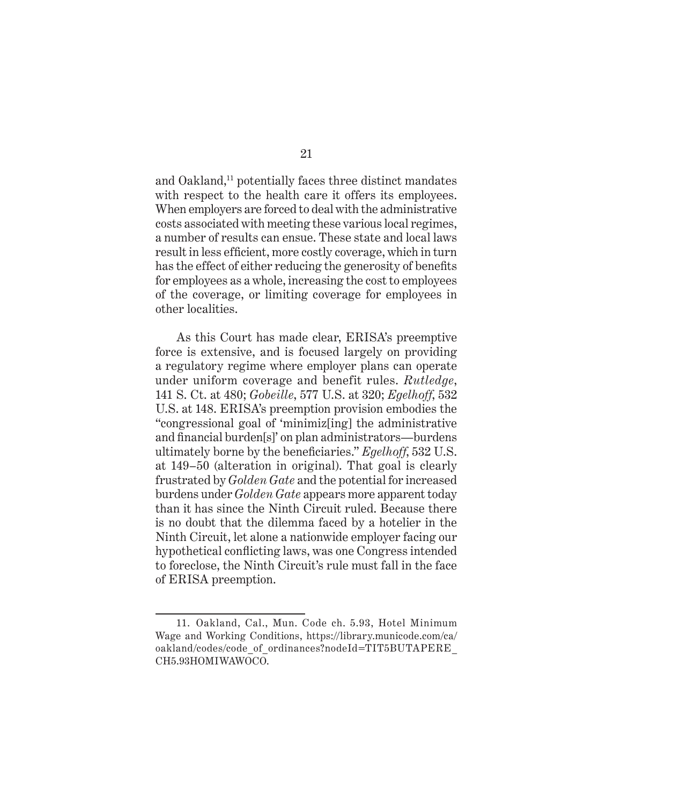and Oakland,<sup>11</sup> potentially faces three distinct mandates with respect to the health care it offers its employees. When employers are forced to deal with the administrative costs associated with meeting these various local regimes, a number of results can ensue. These state and local laws result in less efficient, more costly coverage, which in turn has the effect of either reducing the generosity of benefits for employees as a whole, increasing the cost to employees of the coverage, or limiting coverage for employees in other localities.

As this Court has made clear, ERISA's preemptive force is extensive, and is focused largely on providing a regulatory regime where employer plans can operate under uniform coverage and benefit rules. *Rutledge*, 141 S. Ct. at 480; *Gobeille*, 577 U.S. at 320; *Egelhoff*, 532 U.S. at 148. ERISA's preemption provision embodies the "congressional goal of 'minimiz[ing] the administrative and financial burden[s]' on plan administrators—burdens ultimately borne by the beneficiaries." *Egelhoff*, 532 U.S. at 149–50 (alteration in original). That goal is clearly frustrated by *Golden Gate* and the potential for increased burdens under *Golden Gate* appears more apparent today than it has since the Ninth Circuit ruled. Because there is no doubt that the dilemma faced by a hotelier in the Ninth Circuit, let alone a nationwide employer facing our hypothetical conflicting laws, was one Congress intended to foreclose, the Ninth Circuit's rule must fall in the face of ERISA preemption.

<sup>11.</sup> Oakland, Cal., Mun. Code ch. 5.93, Hotel Minimum Wage and Working Conditions, https://library.municode.com/ca/ oakland/codes/code\_of\_ordinances?nodeId=TIT5BUTAPERE\_ CH5.93HOMIWAWOCO.